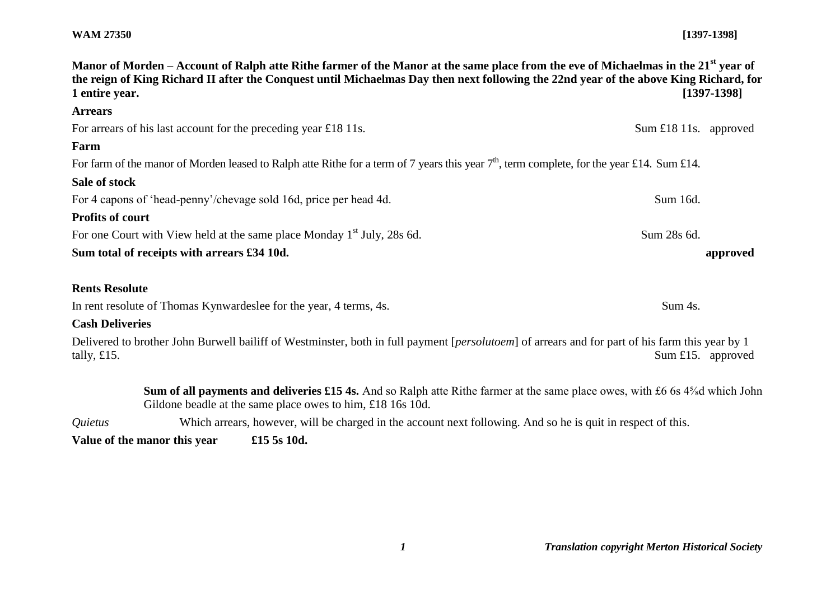## **WAM 27350 [1397-1398]**

| Manor of Morden – Account of Ralph atte Rithe farmer of the Manor at the same place from the eve of Michaelmas in the 21 <sup>st</sup> year of<br>the reign of King Richard II after the Conquest until Michaelmas Day then next following the 22nd year of the above King Richard, for<br>$[1397-1398]$<br>1 entire year. |                       |          |
|----------------------------------------------------------------------------------------------------------------------------------------------------------------------------------------------------------------------------------------------------------------------------------------------------------------------------|-----------------------|----------|
| <b>Arrears</b>                                                                                                                                                                                                                                                                                                             |                       |          |
| For arrears of his last account for the preceding year £18 11s.                                                                                                                                                                                                                                                            | Sum £18 11s. approved |          |
| Farm                                                                                                                                                                                                                                                                                                                       |                       |          |
| For farm of the manor of Morden leased to Ralph atte Rithe for a term of 7 years this year $7th$ , term complete, for the year £14. Sum £14.                                                                                                                                                                               |                       |          |
| Sale of stock                                                                                                                                                                                                                                                                                                              |                       |          |
| For 4 capons of 'head-penny'/chevage sold 16d, price per head 4d.                                                                                                                                                                                                                                                          | Sum 16d.              |          |
| <b>Profits of court</b>                                                                                                                                                                                                                                                                                                    |                       |          |
| For one Court with View held at the same place Monday 1 <sup>st</sup> July, 28s 6d.                                                                                                                                                                                                                                        | Sum 28s 6d.           |          |
| Sum total of receipts with arrears £34 10d.                                                                                                                                                                                                                                                                                |                       | approved |
| <b>Rents Resolute</b>                                                                                                                                                                                                                                                                                                      |                       |          |
| In rent resolute of Thomas Kynwardeslee for the year, 4 terms, 4s.                                                                                                                                                                                                                                                         | Sum 4s.               |          |
| <b>Cash Deliveries</b>                                                                                                                                                                                                                                                                                                     |                       |          |
| Delivered to brother John Burwell bailiff of Westminster, both in full payment [ <i>persolutoem</i> ] of arrears and for part of his farm this year by 1                                                                                                                                                                   |                       |          |

tally, £15. Sum £15. approved

**Sum of all payments and deliveries £15 4s.** And so Ralph atte Rithe farmer at the same place owes, with £6 6s 4⅝d which John Gildone beadle at the same place owes to him, £18 16s 10d.

*Quietus* Which arrears, however, will be charged in the account next following. And so he is quit in respect of this.

**Value of the manor this year £15 5s 10d.**